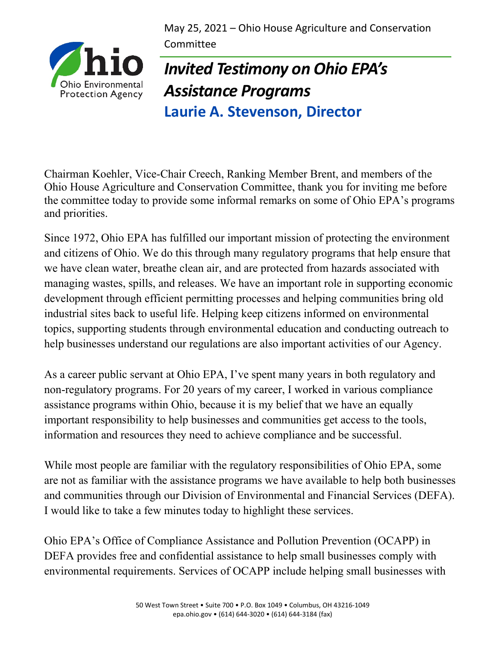May 25, 2021 – Ohio House Agriculture and Conservation Committee



## *Invited Testimony on Ohio EPA's Assistance Programs* **Laurie A. Stevenson, Director**

Chairman Koehler, Vice-Chair Creech, Ranking Member Brent, and members of the Ohio House Agriculture and Conservation Committee, thank you for inviting me before the committee today to provide some informal remarks on some of Ohio EPA's programs and priorities.

Since 1972, Ohio EPA has fulfilled our important mission of protecting the environment and citizens of Ohio. We do this through many regulatory programs that help ensure that we have clean water, breathe clean air, and are protected from hazards associated with managing wastes, spills, and releases. We have an important role in supporting economic development through efficient permitting processes and helping communities bring old industrial sites back to useful life. Helping keep citizens informed on environmental topics, supporting students through environmental education and conducting outreach to help businesses understand our regulations are also important activities of our Agency.

As a career public servant at Ohio EPA, I've spent many years in both regulatory and non-regulatory programs. For 20 years of my career, I worked in various compliance assistance programs within Ohio, because it is my belief that we have an equally important responsibility to help businesses and communities get access to the tools, information and resources they need to achieve compliance and be successful.

While most people are familiar with the regulatory responsibilities of Ohio EPA, some are not as familiar with the assistance programs we have available to help both businesses and communities through our Division of Environmental and Financial Services (DEFA). I would like to take a few minutes today to highlight these services.

Ohio EPA's Office of Compliance Assistance and Pollution Prevention (OCAPP) in DEFA provides free and confidential assistance to help small businesses comply with environmental requirements. Services of OCAPP include helping small businesses with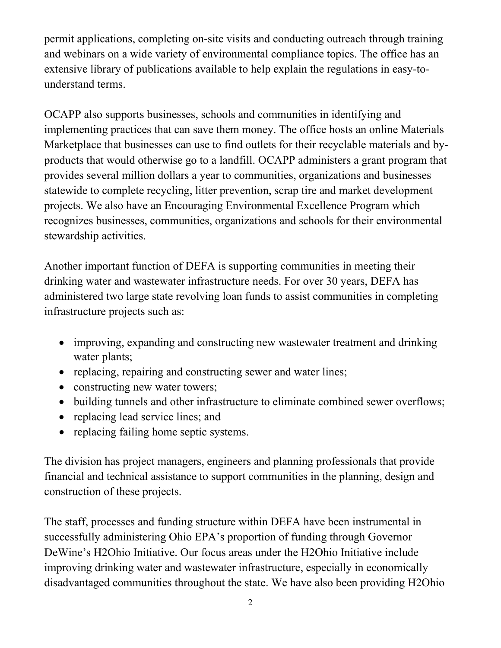permit applications, completing on-site visits and conducting outreach through training and webinars on a wide variety of environmental compliance topics. The office has an extensive library of publications available to help explain the regulations in easy-tounderstand terms.

OCAPP also supports businesses, schools and communities in identifying and implementing practices that can save them money. The office hosts an online Materials Marketplace that businesses can use to find outlets for their recyclable materials and byproducts that would otherwise go to a landfill. OCAPP administers a grant program that provides several million dollars a year to communities, organizations and businesses statewide to complete recycling, litter prevention, scrap tire and market development projects. We also have an Encouraging Environmental Excellence Program which recognizes businesses, communities, organizations and schools for their environmental stewardship activities.

Another important function of DEFA is supporting communities in meeting their drinking water and wastewater infrastructure needs. For over 30 years, DEFA has administered two large state revolving loan funds to assist communities in completing infrastructure projects such as:

- improving, expanding and constructing new wastewater treatment and drinking water plants;
- replacing, repairing and constructing sewer and water lines;
- constructing new water towers;
- building tunnels and other infrastructure to eliminate combined sewer overflows;
- replacing lead service lines; and
- replacing failing home septic systems.

The division has project managers, engineers and planning professionals that provide financial and technical assistance to support communities in the planning, design and construction of these projects.

The staff, processes and funding structure within DEFA have been instrumental in successfully administering Ohio EPA's proportion of funding through Governor DeWine's H2Ohio Initiative. Our focus areas under the H2Ohio Initiative include improving drinking water and wastewater infrastructure, especially in economically disadvantaged communities throughout the state. We have also been providing H2Ohio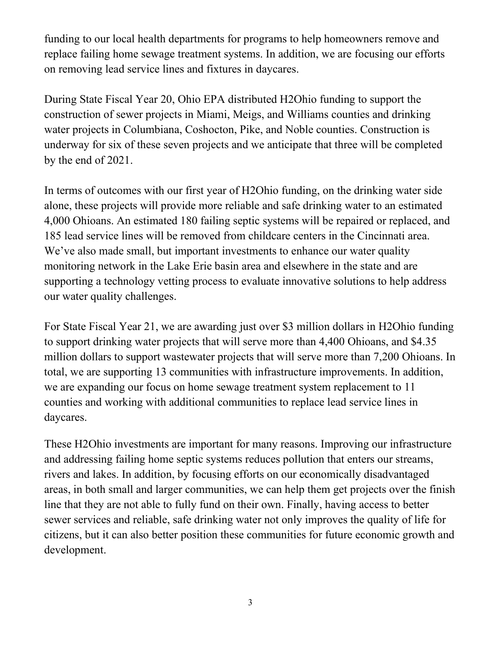funding to our local health departments for programs to help homeowners remove and replace failing home sewage treatment systems. In addition, we are focusing our efforts on removing lead service lines and fixtures in daycares.

During State Fiscal Year 20, Ohio EPA distributed H2Ohio funding to support the construction of sewer projects in Miami, Meigs, and Williams counties and drinking water projects in Columbiana, Coshocton, Pike, and Noble counties. Construction is underway for six of these seven projects and we anticipate that three will be completed by the end of 2021.

In terms of outcomes with our first year of H2Ohio funding, on the drinking water side alone, these projects will provide more reliable and safe drinking water to an estimated 4,000 Ohioans. An estimated 180 failing septic systems will be repaired or replaced, and 185 lead service lines will be removed from childcare centers in the Cincinnati area. We've also made small, but important investments to enhance our water quality monitoring network in the Lake Erie basin area and elsewhere in the state and are supporting a technology vetting process to evaluate innovative solutions to help address our water quality challenges.

For State Fiscal Year 21, we are awarding just over \$3 million dollars in H2Ohio funding to support drinking water projects that will serve more than 4,400 Ohioans, and \$4.35 million dollars to support wastewater projects that will serve more than 7,200 Ohioans. In total, we are supporting 13 communities with infrastructure improvements. In addition, we are expanding our focus on home sewage treatment system replacement to 11 counties and working with additional communities to replace lead service lines in daycares.

These H2Ohio investments are important for many reasons. Improving our infrastructure and addressing failing home septic systems reduces pollution that enters our streams, rivers and lakes. In addition, by focusing efforts on our economically disadvantaged areas, in both small and larger communities, we can help them get projects over the finish line that they are not able to fully fund on their own. Finally, having access to better sewer services and reliable, safe drinking water not only improves the quality of life for citizens, but it can also better position these communities for future economic growth and development.